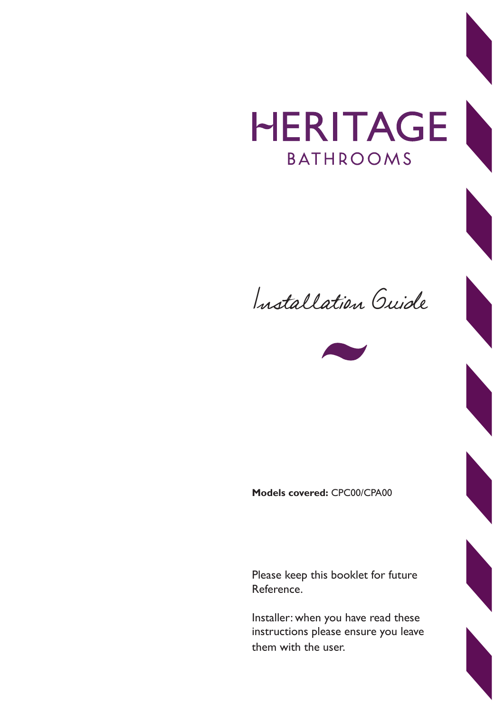## HERITAGE **BATHROOMS**





**Models covered:** CPC00/CPA00

Please keep this booklet for future Reference.

Installer: when you have read these instructions please ensure you leave them with the user.

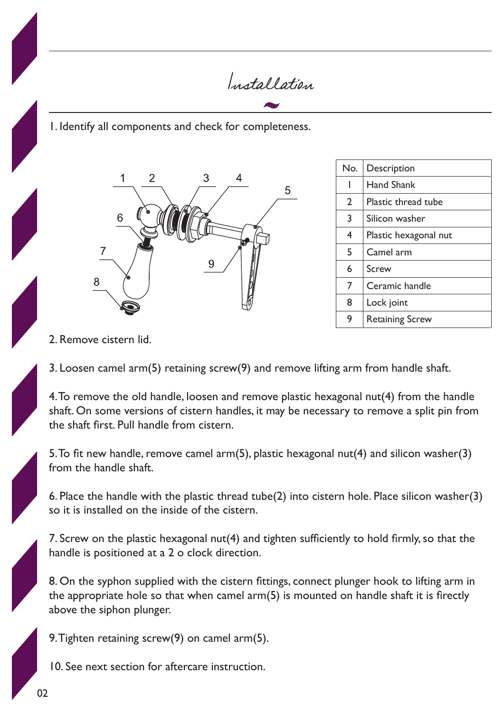Installation

1. Identify all components and check for completeness.



| No. | <b>Description</b>     |
|-----|------------------------|
| ı   | <b>Hand Shank</b>      |
| 2   | Plastic thread tube    |
| 3   | Silicon washer         |
| 4   | Plastic hexagonal nut  |
| 5   | Camel arm              |
| 6   | Screw                  |
| 7   | Ceramic handle         |
| 8   | Lock joint             |
| 9   | <b>Retaining Screw</b> |

2. Remove cistern lid.

3. Loosen camel arm(5) retaining screw(9) and remove lifting arm from handle shaft.

4. To remove the old handle, loosen and remove plastic hexagonal nut(4) from the handle shaft. On some versions of cistern handles, it may be necessary to remove a split pin from the shaft first. Pull handle from cistern.

5. To fit new handle, remove camel arm(5), plastic hexagonal nut(4) and silicon washer(3) from the handle shaft.

6. Place the handle with the plastic thread tube(2) into cistern hole. Place silicon washer(3) so it is installed on the inside of the cistern.

7. Screw on the plastic hexagonal nut(4) and tighten sufficiently to hold firmly, so that the handle is positioned at a 2 o clock direction.

8. On the syphon supplied with the cistern fittings, connect plunger hook to lifting arm in the appropriate hole so that when camel arm(5) is mounted on handle shaft it is firectly above the siphon plunger.

9. Tighten retaining screw(9) on camel arm(5).

10. See next section for aftercare instruction.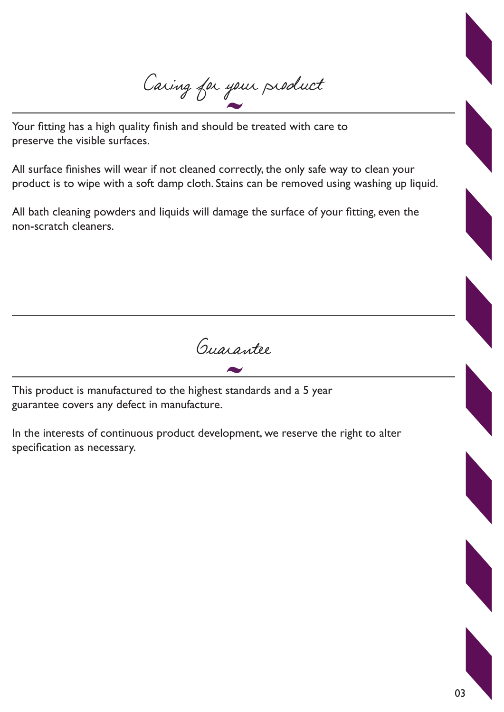Caring for your product

Your fitting has a high quality finish and should be treated with care to preserve the visible surfaces.

All surface finishes will wear if not cleaned correctly, the only safe way to clean your product is to wipe with a soft damp cloth. Stains can be removed using washing up liquid.

All bath cleaning powders and liquids will damage the surface of your fitting, even the non-scratch cleaners.

Guarantee

This product is manufactured to the highest standards and a 5 year guarantee covers any defect in manufacture.

In the interests of continuous product development, we reserve the right to alter specification as necessary.